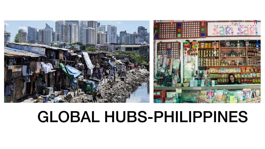

# GLOBAL HUBS-PHILIPPINES

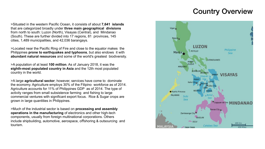>Situated in the western Pacific Ocean, it consists of about **7,641 islands**  that are categorized broadly under **three main geographical divisions**  from north to south: Luzon (North), Visayas (Central), and Mindanao (South). These are further divided into 17 regions, 81 provinces, 145 cities, 1,489 municipalities, and 42,036 barangays.

>Located near the Pacific Ring of Fire and close to the equator makes the Philippines **prone to earthquakes and typhoons**, but also endows it with **abundant natural resources** and some of the world's greatest biodiversity.

>A population of at least **100 million**. As of January 2018, it was the **eighth-most populated country in Asia** and the 12th most populated country in the world.

>A large **agricultural sector**; however, services have come to dominate the economy. Agriculture employs 30% of the Filipino workforce as of 2014. Agriculture accounts for 11% of Philippines GDP as of 2014. The type of activity ranges from small subsistence farming and fishing to large commercial ventures with significant export focus. Rice & Sugar crops are grown in large quantities in Philippines.

>Much of the industrial sector is based on **processing and assembly operations in the manufacturing** of electronics and other high-tech components, usually from foreign multinational corporations. Others include shipbuilding, automotive, aerospace, offshoring & outsourcing and tourism.

### Country Overview









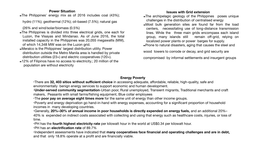### **Power Situation**

➡The Philippines' energy mix as of 2016 includes coal (43%); hydro (11%); geothermal (12%); oil-based (7.5%); natural gas

(26% and wind/solar/biomass (0.5%)

- ➡The Philippines is divided into three electrical grids, one each for Luzon, the Visayas and Mindanao. As of June 2016, the total installed capacity in the Philippines was 20,055 megawatts (MW), of which 14,348 MW was on the Luzon grid.
- ➡Meralco is the Philippines' largest distribution utility. Power distribution outside the Metro Manila area is handled by private distribution utilities (23+) and electric cooperatives (120+).
- ➡12% of Filipinos have no access to electricity.; 20 million of the population are without electricity

#### **Issues with Grid extension**

- ➡The archipelagic geology of the Philippines poses unique challenges in the distribution of centralised energy
- ➡Most bulk generation sites are found far from the load centers, necessitating use of long-distance transmission lines. While the three main grids encompass each island group, many islands still remain off-grid, relying on localized power plants or power barges for supply.
- ➡Prone to natural disasters, aging that causes the steel and

wood towers to corrode or decay, and grid security are

compromised by informal settlements and insurgent groups

#### **Energy Poverty**

‣There are **32, 403 sitios without sufficient choice** in accessing adequate, affordable, reliable, high-quality, safe and environmentally benign energy services to support economic and human development. makers, Peasants with small farms/fishing equipment, Blue collar employees ‣The **poor pay on average eight times more** for the same unit of energy than other income groups. incomes in many developing countries.

- 
- 
- ‣**Under-served community segmentation**-Urban poor, Rural unemployed, Transient migrants, Traditional merchants and craft
	-
- ‣Poverty and energy deprivation go hand-in-hand with energy expenses, accounting for a significant proportion of household

‣Generally, **20%–30% of annual income in poor households is directly expended on energy fuels,** and an additional 20%– 40% is expended on indirect costs associated with collecting and using that energy such as healthcare costs, injuries, or loss of time.

‣PH has the **fourth highest electricity rate** per kilowatt hour in the world at US\$0.34 per kilowatt hour. ‣PH has an **electrification rate** of 89.7%

‣Independent assessments have indicated that **many cooperatives face financial and operating challenges and are in debt,**  and that only 18.8% operate at a profit and are financially viable.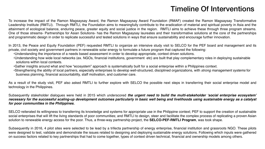To increase the impact of the Ramon Magsaysay Award, the Ramon Magsaysay Award Foundation (RMAF) created the Ramon Magsaysay Transformative Leadership Institute (RMTLI). Through RMTLI, the Foundation aims to meaningfully contribute to the eradication of material and spiritual poverty in Asia and the attainment of ecological balance, enduring peace, greater equity and social justice in the region. RMTLI aims to achieve these through three program streams. One of those streams- Partnerships for Asian Solutions- has the Ramon Magsaysay laureates and their transformative solutions at the core of the partnerships and programmatic design in order to replicate successful and tested solutions in ways that ensure sustainability and encourage further innovation.

In 2013, the Peace and Equity Foundation (PEF) requested RMTLI to organize an intensive study visit to SELCO for the PEF board and management and its private, civil society and government partners in renewable solar energy to formulate a future program that captured the following:

•Understanding how wide local networks (ex. NGOs, financial institutions, government etc) are built that play complementary roles in deploying sustainable

- •Understanding the importance of a needs based assessment in order to develop appropriate, context driven solutions.
- solutions within local contexts.
- •Gather insights around what and how "ecosystem" approach is systematically built for a social enterprise within a Philippines context.
- business planning, financial accountability, staff motivation, and customer care.

•Strengthening the ability of local partners, especially enterprises to develop well-structured, disciplined organizations, with *strong management systems* for



















As a result of the study visit, PEF also asked RMTLI to further explore with SELCO the possible next steps in transferring their social enterprise model and technology in the Philippines.

### Subsequently stakeholder dialogues were held in 2015 which underscored *the urgent need to build the multi-stakeholder 'social enterprise ecosystem' necessary for the successful scaling-up development outcomes particularly in basic well being and livelihoods using sustainable energy as a catalyst for poor communities in the Philippines.*

SELCO reiterated its willingness to transferring its knowledge and systems for appropriate use in the Philippine context; PEF to support the creation of sustainable social enterprises that will lift the living standards of poor communities; and RMTLI to design, steer and facilitate the complex process of replicating a proven Asian solution to renewable energy access for the poor. Thus, a three-way partnership project, the **SELCO-PEF-RMTLI Program**, was took shape.

Subsequently in 2016, 4 pilot sites were selected to be lead by a trifecta partnership of energy enterprise, financial institution and grassroots NGO. These pilots were designed to test, validate and demonstrate the issues related to designing and deploying sustainable energy solutions. Following which inputs were gathered on success factors related to key partnerships that had to come together, types of context driven technical, financial and ownership models among others.

## Timeline Of Interventions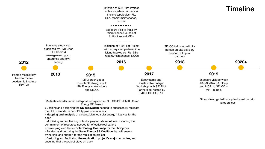



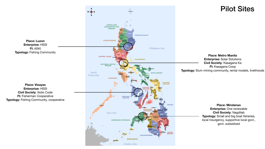**Place: Luzon Enterprise:** HSSI **FI:** ASKI **Typology: Fishing Community** 



**Place: Visayas Enterprise:** HSSI **Civil Society**: Iliolio Code **FI:** Fisherman Cooperative **Typology:** Fishing Community, cooperative

**Place: Metro Manila Enterprise:** Solar Solutions **Civil Society**: Kasagana Ka **FI:** Kasagana Coop **Typology:** Slum mining community, rental models, livelihoods

> **Place: Mindanao Enterprise:** One renewable **Civil Society**: Nagdilab **Typology:** Small and big boat fisheries, local insurgency, supportive local govt., govt. subsidized







## Pilot Sites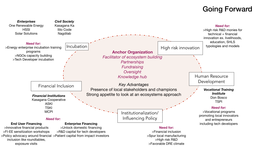### Going Forward

Institutionalization/ Influencing Policy

Human Resource Development

High risk innovation

#### *Vocational Training Institute*  Don Bosco TSPI



>High risk R&D monies for technical + financial innovation ex. livelihoods, education, SHLS typologies and models

### *Need for:*

>Vocational programs promoting local innovators and entrepreneurs





#### **Need for:**

>Financial inclusion >Spur local manufacturing >High risk R&D >Favorable DRE climate

### **Anchor Organization**

*Facilitator of ecosystem building Partnerships Fundraising Oversight Knowledge hub*

*Key Advantages* 

Strong appetite to look at an ecosystems approach